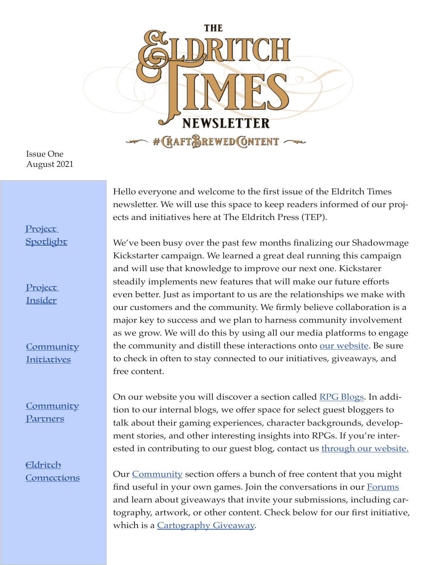

Issue One August 2021

#### Project **[Spotlight](#page-1-0)**

Project Insider

**[Community](#page-3-0)** [Initiatives](#page-3-0)

**[Community](#page-4-0) [Partners](#page-4-0)** 

Eldritch **[Connections](#page-5-0)** 

Hello everyone and welcome to the first issue of the Eldritch Times newsletter. We will use this space to keep readers informed of our projects and initiatives here at The Eldritch Press (TEP).

We've been busy over the past few months finalizing our Shadowmage Kickstarter campaign. We learned a great deal running this campaign and will use that knowledge to improve our next one. Kickstarer steadily implements new features that will make our future efforts even better. Just as important to us are the relationships we make with our customers and the community. We firmly believe collaboration is a major key to success and we plan to harness community involvement as we grow. We will do this by using all our media platforms to engage the community and distill these interactions onto [our website](http://www.theeldritchpress.com). Be sure to check in often to stay connected to our initiatives, giveaways, and free content.

On our website you will discover a section called [RPG Blogs.](https://www.theeldritchpress.com/rpg-blogs/) In addition to our internal blogs, we offer space for select guest bloggers to talk about their gaming experiences, character backgrounds, development stories, and other interesting insights into RPGs. If you're interested in contributing to our guest blog, contact us **through our website**.

Our [Community](https://www.theeldritchpress.com/community-2/) section offers a bunch of free content that you might find useful in your own games. Join the conversations in our **Forums** and learn about giveaways that invite your submissions, including cartography, artwork, or other content. Check below for our first initiative, which is a [Cartography Giveaway](#page-3-0).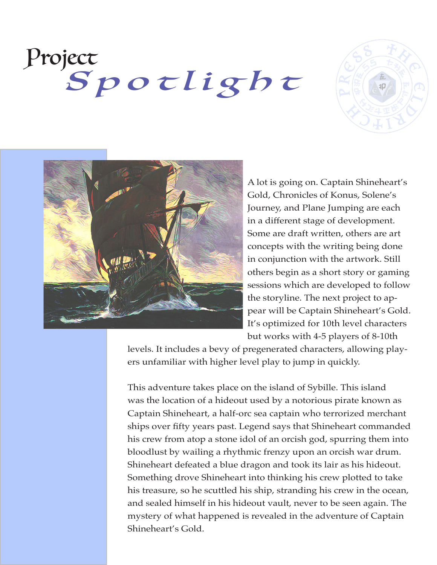# <span id="page-1-0"></span>Project Spotlight





A lot is going on. Captain Shineheart's Gold, Chronicles of Konus, Solene's Journey, and Plane Jumping are each in a different stage of development. Some are draft written, others are art concepts with the writing being done in conjunction with the artwork. Still others begin as a short story or gaming sessions which are developed to follow the storyline. The next project to appear will be Captain Shineheart's Gold. It's optimized for 10th level characters but works with 4-5 players of 8-10th

levels. It includes a bevy of pregenerated characters, allowing players unfamiliar with higher level play to jump in quickly.

This adventure takes place on the island of Sybille. This island was the location of a hideout used by a notorious pirate known as Captain Shineheart, a half-orc sea captain who terrorized merchant ships over fifty years past. Legend says that Shineheart commanded his crew from atop a stone idol of an orcish god, spurring them into bloodlust by wailing a rhythmic frenzy upon an orcish war drum. Shineheart defeated a blue dragon and took its lair as his hideout. Something drove Shineheart into thinking his crew plotted to take his treasure, so he scuttled his ship, stranding his crew in the ocean, and sealed himself in his hideout vault, never to be seen again. The mystery of what happened is revealed in the adventure of Captain Shineheart's Gold.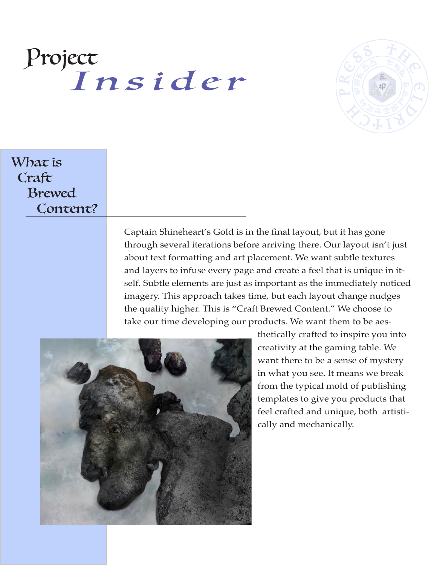### <span id="page-2-0"></span>Project Insider



#### What is Craft Brewed Content?

Captain Shineheart's Gold is in the final layout, but it has gone through several iterations before arriving there. Our layout isn't just about text formatting and art placement. We want subtle textures and layers to infuse every page and create a feel that is unique in itself. Subtle elements are just as important as the immediately noticed imagery. This approach takes time, but each layout change nudges the quality higher. This is "Craft Brewed Content." We choose to take our time developing our products. We want them to be aes-



thetically crafted to inspire you into creativity at the gaming table. We want there to be a sense of mystery in what you see. It means we break from the typical mold of publishing templates to give you products that feel crafted and unique, both artistically and mechanically.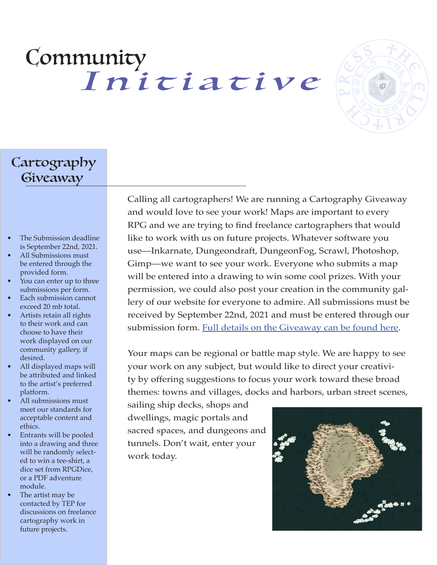## <span id="page-3-0"></span>Community Initiative



### Cartography Giveaway

- The Submission deadline is September 22nd, 2021.
- All Submissions must be entered through the provided form.
- You can enter up to three submissions per form.
- **Each submission cannot** exceed 20 mb total.
- Artists retain all rights to their work and can choose to have their work displayed on our community gallery, if desired.
- All displayed maps will be attributed and linked to the artist's preferred platform.
- All submissions must meet our standards for acceptable content and ethics.
- Entrants will be pooled into a drawing and three will be randomly selected to win a tee-shirt, a dice set from RPGDice, or a PDF adventure module.
- The artist may be contacted by TEP for discussions on freelance cartography work in future projects.

Calling all cartographers! We are running a Cartography Giveaway and would love to see your work! Maps are important to every RPG and we are trying to find freelance cartographers that would like to work with us on future projects. Whatever software you use—Inkarnate, Dungeondraft, DungeonFog, Scrawl, Photoshop, Gimp—we want to see your work. Everyone who submits a map will be entered into a drawing to win some cool prizes. With your permission, we could also post your creation in the community gallery of our website for everyone to admire. All submissions must be received by September 22nd, 2021 and must be entered through our submission form. [Full details on the Giveaway can be found here](https://www.theeldritchpress.com/submissions/).

Your maps can be regional or battle map style. We are happy to see your work on any subject, but would like to direct your creativity by offering suggestions to focus your work toward these broad themes: towns and villages, docks and harbors, urban street scenes,

sailing ship decks, shops and dwellings, magic portals and sacred spaces, and dungeons and tunnels. Don't wait, enter your work today.

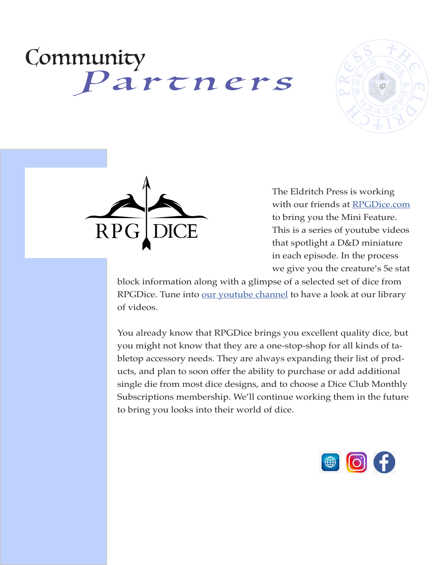## <span id="page-4-0"></span>Community Partners





The Eldritch Press is working with our friends at [RPGDice.com](http://RPGDice.com) to bring you the Mini Feature. This is a series of youtube videos that spotlight a D&D miniature in each episode. In the process we give you the creature's 5e stat

block information along with a glimpse of a selected set of dice from RPGDice. Tune into [our youtube channel](https://bit.ly/3BrTLfj) to have a look at our library of videos.

You already know that RPGDice brings you excellent quality dice, but you might not know that they are a one-stop-shop for all kinds of tabletop accessory needs. They are always expanding their list of products, and plan to soon offer the ability to purchase or add additional single die from most dice designs, and to choose a Dice Club Monthly Subscriptions membership. We'll continue working them in the future to bring you looks into their world of dice.